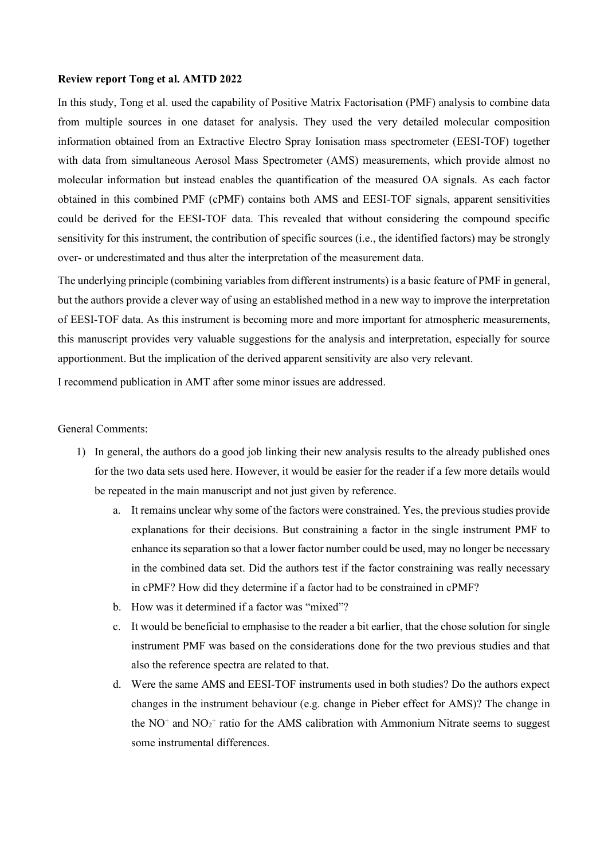## **Review report Tong et al. AMTD 2022**

In this study, Tong et al. used the capability of Positive Matrix Factorisation (PMF) analysis to combine data from multiple sources in one dataset for analysis. They used the very detailed molecular composition information obtained from an Extractive Electro Spray Ionisation mass spectrometer (EESI-TOF) together with data from simultaneous Aerosol Mass Spectrometer (AMS) measurements, which provide almost no molecular information but instead enables the quantification of the measured OA signals. As each factor obtained in this combined PMF (cPMF) contains both AMS and EESI-TOF signals, apparent sensitivities could be derived for the EESI-TOF data. This revealed that without considering the compound specific sensitivity for this instrument, the contribution of specific sources (i.e., the identified factors) may be strongly over- or underestimated and thus alter the interpretation of the measurement data.

The underlying principle (combining variables from different instruments) is a basic feature of PMF in general, but the authors provide a clever way of using an established method in a new way to improve the interpretation of EESI-TOF data. As this instrument is becoming more and more important for atmospheric measurements, this manuscript provides very valuable suggestions for the analysis and interpretation, especially for source apportionment. But the implication of the derived apparent sensitivity are also very relevant.

I recommend publication in AMT after some minor issues are addressed.

## General Comments:

- 1) In general, the authors do a good job linking their new analysis results to the already published ones for the two data sets used here. However, it would be easier for the reader if a few more details would be repeated in the main manuscript and not just given by reference.
	- a. It remains unclear why some of the factors were constrained. Yes, the previous studies provide explanations for their decisions. But constraining a factor in the single instrument PMF to enhance its separation so that a lower factor number could be used, may no longer be necessary in the combined data set. Did the authors test if the factor constraining was really necessary in cPMF? How did they determine if a factor had to be constrained in cPMF?
	- b. How was it determined if a factor was "mixed"?
	- c. It would be beneficial to emphasise to the reader a bit earlier, that the chose solution for single instrument PMF was based on the considerations done for the two previous studies and that also the reference spectra are related to that.
	- d. Were the same AMS and EESI-TOF instruments used in both studies? Do the authors expect changes in the instrument behaviour (e.g. change in Pieber effect for AMS)? The change in the  $NO<sup>+</sup>$  and  $NO<sub>2</sub><sup>+</sup>$  ratio for the AMS calibration with Ammonium Nitrate seems to suggest some instrumental differences.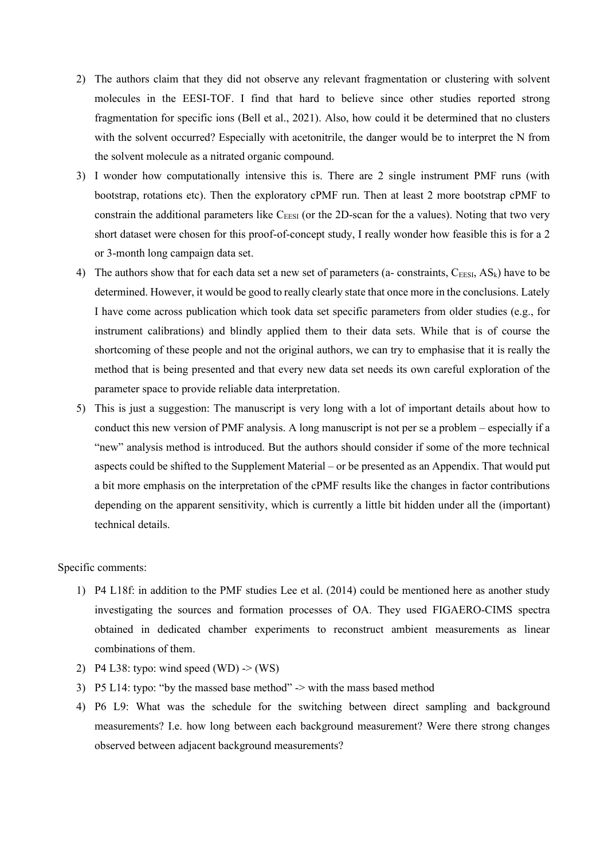- 2) The authors claim that they did not observe any relevant fragmentation or clustering with solvent molecules in the EESI-TOF. I find that hard to believe since other studies reported strong fragmentation for specific ions (Bell et al., 2021). Also, how could it be determined that no clusters with the solvent occurred? Especially with acetonitrile, the danger would be to interpret the N from the solvent molecule as a nitrated organic compound.
- 3) I wonder how computationally intensive this is. There are 2 single instrument PMF runs (with bootstrap, rotations etc). Then the exploratory cPMF run. Then at least 2 more bootstrap cPMF to constrain the additional parameters like CEESI (or the 2D-scan for the a values). Noting that two very short dataset were chosen for this proof-of-concept study, I really wonder how feasible this is for a 2 or 3-month long campaign data set.
- 4) The authors show that for each data set a new set of parameters (a- constraints,  $C<sub>EESI</sub>$ ,  $AS<sub>k</sub>$ ) have to be determined. However, it would be good to really clearly state that once more in the conclusions. Lately I have come across publication which took data set specific parameters from older studies (e.g., for instrument calibrations) and blindly applied them to their data sets. While that is of course the shortcoming of these people and not the original authors, we can try to emphasise that it is really the method that is being presented and that every new data set needs its own careful exploration of the parameter space to provide reliable data interpretation.
- 5) This is just a suggestion: The manuscript is very long with a lot of important details about how to conduct this new version of PMF analysis. A long manuscript is not per se a problem – especially if a "new" analysis method is introduced. But the authors should consider if some of the more technical aspects could be shifted to the Supplement Material – or be presented as an Appendix. That would put a bit more emphasis on the interpretation of the cPMF results like the changes in factor contributions depending on the apparent sensitivity, which is currently a little bit hidden under all the (important) technical details.

## Specific comments:

- 1) P4 L18f: in addition to the PMF studies Lee et al. (2014) could be mentioned here as another study investigating the sources and formation processes of OA. They used FIGAERO-CIMS spectra obtained in dedicated chamber experiments to reconstruct ambient measurements as linear combinations of them.
- 2) P4 L38: typo: wind speed  $(WD)$  ->  $(WS)$
- 3) P5 L14: typo: "by the massed base method" -> with the mass based method
- 4) P6 L9: What was the schedule for the switching between direct sampling and background measurements? I.e. how long between each background measurement? Were there strong changes observed between adjacent background measurements?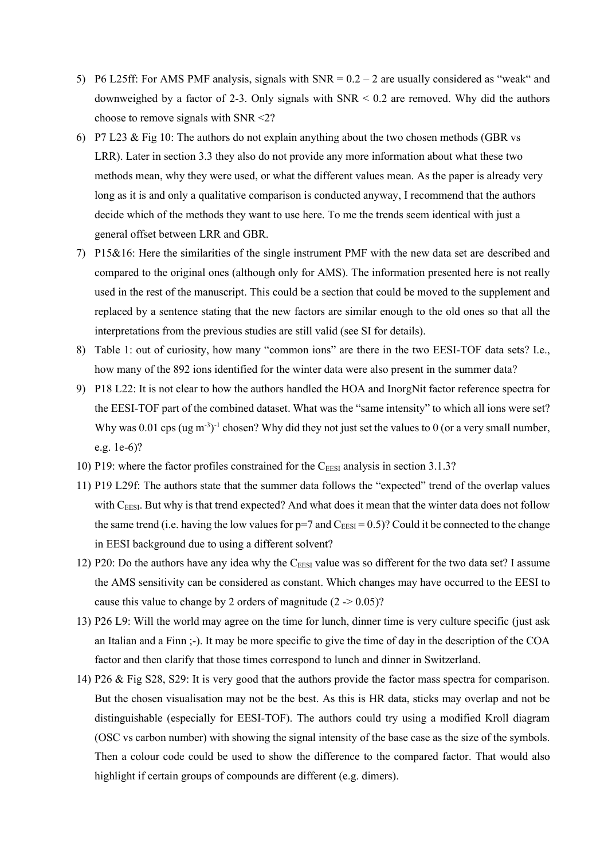- 5) P6 L25ff: For AMS PMF analysis, signals with  $SNR = 0.2 2$  are usually considered as "weak" and downweighed by a factor of 2-3. Only signals with  $SNR < 0.2$  are removed. Why did the authors choose to remove signals with SNR <2?
- 6) P7 L23 & Fig 10: The authors do not explain anything about the two chosen methods (GBR vs LRR). Later in section 3.3 they also do not provide any more information about what these two methods mean, why they were used, or what the different values mean. As the paper is already very long as it is and only a qualitative comparison is conducted anyway, I recommend that the authors decide which of the methods they want to use here. To me the trends seem identical with just a general offset between LRR and GBR.
- 7) P15&16: Here the similarities of the single instrument PMF with the new data set are described and compared to the original ones (although only for AMS). The information presented here is not really used in the rest of the manuscript. This could be a section that could be moved to the supplement and replaced by a sentence stating that the new factors are similar enough to the old ones so that all the interpretations from the previous studies are still valid (see SI for details).
- 8) Table 1: out of curiosity, how many "common ions" are there in the two EESI-TOF data sets? I.e., how many of the 892 ions identified for the winter data were also present in the summer data?
- 9) P18 L22: It is not clear to how the authors handled the HOA and InorgNit factor reference spectra for the EESI-TOF part of the combined dataset. What was the "same intensity" to which all ions were set? Why was 0.01 cps (ug m<sup>-3</sup>)<sup>-1</sup> chosen? Why did they not just set the values to 0 (or a very small number, e.g. 1e-6)?
- 10) P19: where the factor profiles constrained for the  $C_{\text{EESI}}$  analysis in section 3.1.3?
- 11) P19 L29f: The authors state that the summer data follows the "expected" trend of the overlap values with CEESI. But why is that trend expected? And what does it mean that the winter data does not follow the same trend (i.e. having the low values for  $p=7$  and  $C_{EESI} = 0.5$ )? Could it be connected to the change in EESI background due to using a different solvent?
- 12) P20: Do the authors have any idea why the  $C_{\text{EESI}}$  value was so different for the two data set? I assume the AMS sensitivity can be considered as constant. Which changes may have occurred to the EESI to cause this value to change by 2 orders of magnitude  $(2 \div 0.05)$ ?
- 13) P26 L9: Will the world may agree on the time for lunch, dinner time is very culture specific (just ask an Italian and a Finn ;-). It may be more specific to give the time of day in the description of the COA factor and then clarify that those times correspond to lunch and dinner in Switzerland.
- 14) P26 & Fig S28, S29: It is very good that the authors provide the factor mass spectra for comparison. But the chosen visualisation may not be the best. As this is HR data, sticks may overlap and not be distinguishable (especially for EESI-TOF). The authors could try using a modified Kroll diagram (OSC vs carbon number) with showing the signal intensity of the base case as the size of the symbols. Then a colour code could be used to show the difference to the compared factor. That would also highlight if certain groups of compounds are different (e.g. dimers).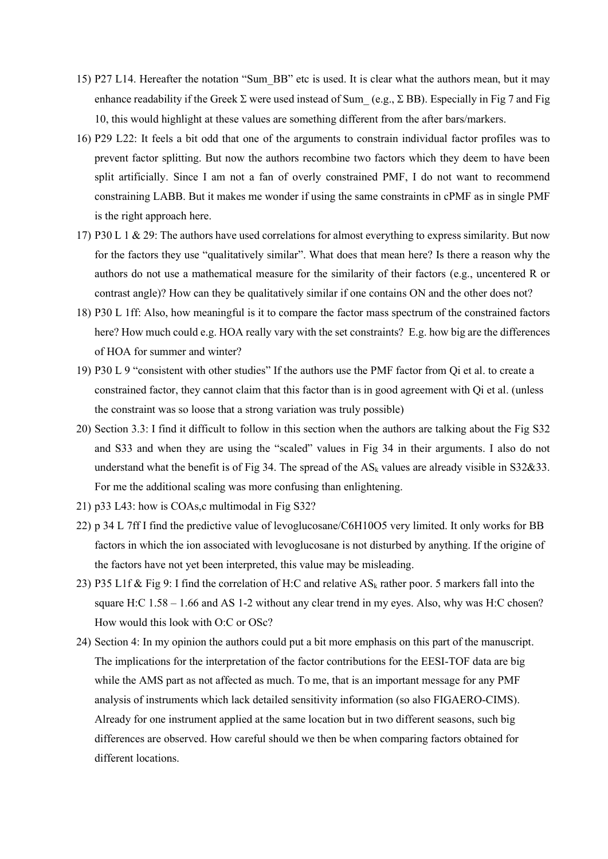- 15) P27 L14. Hereafter the notation "Sum\_BB" etc is used. It is clear what the authors mean, but it may enhance readability if the Greek  $\Sigma$  were used instead of Sum (e.g.,  $\Sigma$  BB). Especially in Fig 7 and Fig 10, this would highlight at these values are something different from the after bars/markers.
- 16) P29 L22: It feels a bit odd that one of the arguments to constrain individual factor profiles was to prevent factor splitting. But now the authors recombine two factors which they deem to have been split artificially. Since I am not a fan of overly constrained PMF, I do not want to recommend constraining LABB. But it makes me wonder if using the same constraints in cPMF as in single PMF is the right approach here.
- 17) P30 L 1 & 29: The authors have used correlations for almost everything to express similarity. But now for the factors they use "qualitatively similar". What does that mean here? Is there a reason why the authors do not use a mathematical measure for the similarity of their factors (e.g., uncentered R or contrast angle)? How can they be qualitatively similar if one contains ON and the other does not?
- 18) P30 L 1ff: Also, how meaningful is it to compare the factor mass spectrum of the constrained factors here? How much could e.g. HOA really vary with the set constraints? E.g. how big are the differences of HOA for summer and winter?
- 19) P30 L 9 "consistent with other studies" If the authors use the PMF factor from Qi et al. to create a constrained factor, they cannot claim that this factor than is in good agreement with Qi et al. (unless the constraint was so loose that a strong variation was truly possible)
- 20) Section 3.3: I find it difficult to follow in this section when the authors are talking about the Fig S32 and S33 and when they are using the "scaled" values in Fig 34 in their arguments. I also do not understand what the benefit is of Fig 34. The spread of the  $AS_k$  values are already visible in S32&33. For me the additional scaling was more confusing than enlightening.
- 21) p33 L43: how is COAs,c multimodal in Fig S32?
- 22) p 34 L 7ff I find the predictive value of levoglucosane/C6H10O5 very limited. It only works for BB factors in which the ion associated with levoglucosane is not disturbed by anything. If the origine of the factors have not yet been interpreted, this value may be misleading.
- 23) P35 L1f & Fig 9: I find the correlation of H:C and relative  $AS_k$  rather poor. 5 markers fall into the square H:C  $1.58 - 1.66$  and AS 1-2 without any clear trend in my eyes. Also, why was H:C chosen? How would this look with O:C or OSc?
- 24) Section 4: In my opinion the authors could put a bit more emphasis on this part of the manuscript. The implications for the interpretation of the factor contributions for the EESI-TOF data are big while the AMS part as not affected as much. To me, that is an important message for any PMF analysis of instruments which lack detailed sensitivity information (so also FIGAERO-CIMS). Already for one instrument applied at the same location but in two different seasons, such big differences are observed. How careful should we then be when comparing factors obtained for different locations.